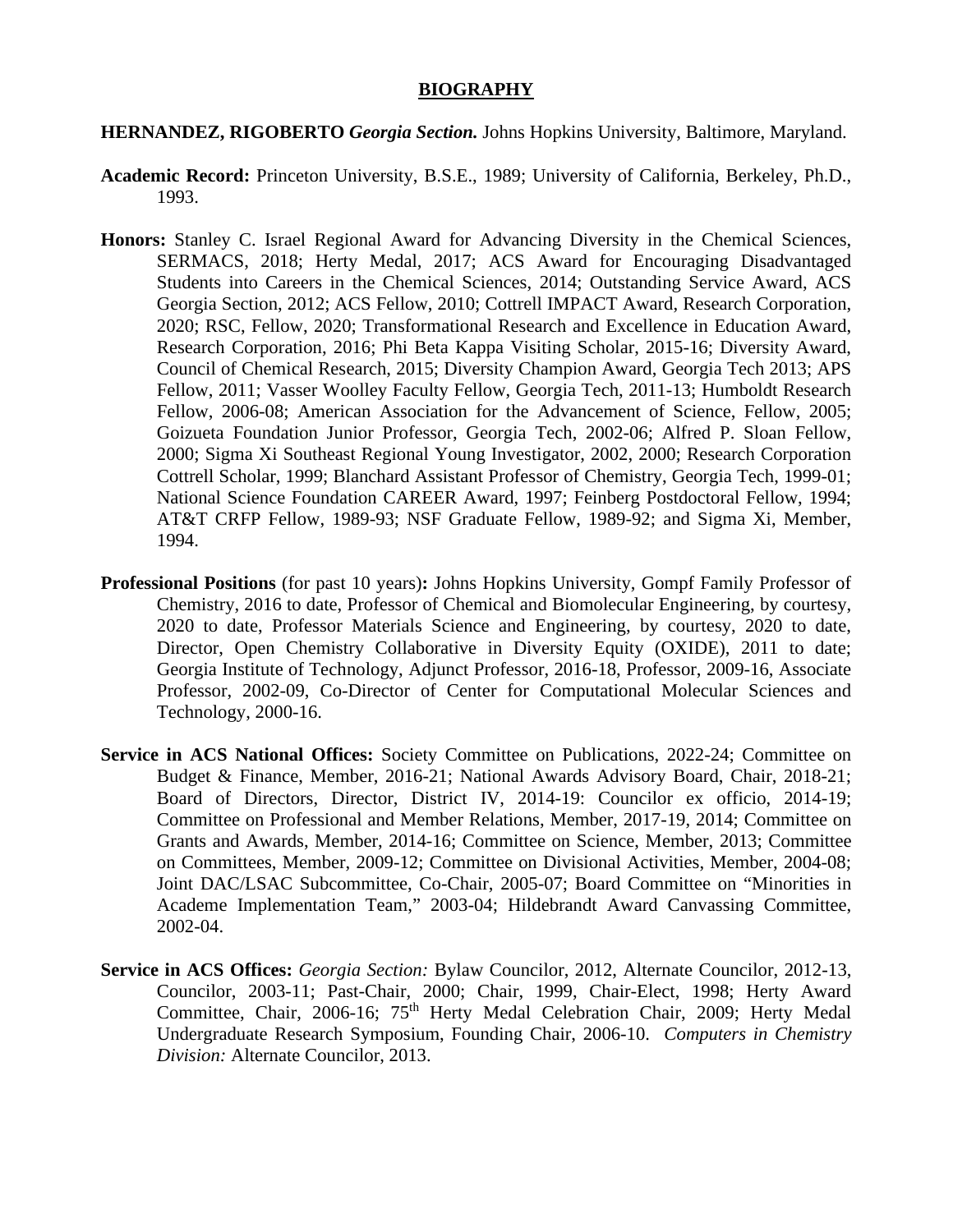## **BIOGRAPHY**

## **HERNANDEZ, RIGOBERTO** *Georgia Section.* Johns Hopkins University, Baltimore, Maryland.

- **Academic Record:** Princeton University, B.S.E., 1989; University of California, Berkeley, Ph.D., 1993.
- **Honors:** Stanley C. Israel Regional Award for Advancing Diversity in the Chemical Sciences, SERMACS, 2018; Herty Medal, 2017; ACS Award for Encouraging Disadvantaged Students into Careers in the Chemical Sciences, 2014; Outstanding Service Award, ACS Georgia Section, 2012; ACS Fellow, 2010; Cottrell IMPACT Award, Research Corporation, 2020; RSC, Fellow, 2020; Transformational Research and Excellence in Education Award, Research Corporation, 2016; Phi Beta Kappa Visiting Scholar, 2015-16; Diversity Award, Council of Chemical Research, 2015; Diversity Champion Award, Georgia Tech 2013; APS Fellow, 2011; Vasser Woolley Faculty Fellow, Georgia Tech, 2011-13; Humboldt Research Fellow, 2006-08; American Association for the Advancement of Science, Fellow, 2005; Goizueta Foundation Junior Professor, Georgia Tech, 2002-06; Alfred P. Sloan Fellow, 2000; Sigma Xi Southeast Regional Young Investigator, 2002, 2000; Research Corporation Cottrell Scholar, 1999; Blanchard Assistant Professor of Chemistry, Georgia Tech, 1999-01; National Science Foundation CAREER Award, 1997; Feinberg Postdoctoral Fellow, 1994; AT&T CRFP Fellow, 1989-93; NSF Graduate Fellow, 1989-92; and Sigma Xi, Member, 1994.
- **Professional Positions** (for past 10 years)**:** Johns Hopkins University, Gompf Family Professor of Chemistry, 2016 to date, Professor of Chemical and Biomolecular Engineering, by courtesy, 2020 to date, Professor Materials Science and Engineering, by courtesy, 2020 to date, Director, Open Chemistry Collaborative in Diversity Equity (OXIDE), 2011 to date; Georgia Institute of Technology, Adjunct Professor, 2016-18, Professor, 2009-16, Associate Professor, 2002-09, Co-Director of Center for Computational Molecular Sciences and Technology, 2000-16.
- **Service in ACS National Offices:** Society Committee on Publications, 2022-24; Committee on Budget & Finance, Member, 2016-21; National Awards Advisory Board, Chair, 2018-21; Board of Directors, Director, District IV, 2014-19: Councilor ex officio, 2014-19; Committee on Professional and Member Relations, Member, 2017-19, 2014; Committee on Grants and Awards, Member, 2014-16; Committee on Science, Member, 2013; Committee on Committees, Member, 2009-12; Committee on Divisional Activities, Member, 2004-08; Joint DAC/LSAC Subcommittee, Co-Chair, 2005-07; Board Committee on "Minorities in Academe Implementation Team," 2003-04; Hildebrandt Award Canvassing Committee, 2002-04.
- **Service in ACS Offices:** *Georgia Section:* Bylaw Councilor, 2012, Alternate Councilor, 2012-13, Councilor, 2003-11; Past-Chair, 2000; Chair, 1999, Chair-Elect, 1998; Herty Award Committee, Chair, 2006-16; 75<sup>th</sup> Herty Medal Celebration Chair, 2009; Herty Medal Undergraduate Research Symposium, Founding Chair, 2006-10. *Computers in Chemistry Division:* Alternate Councilor, 2013.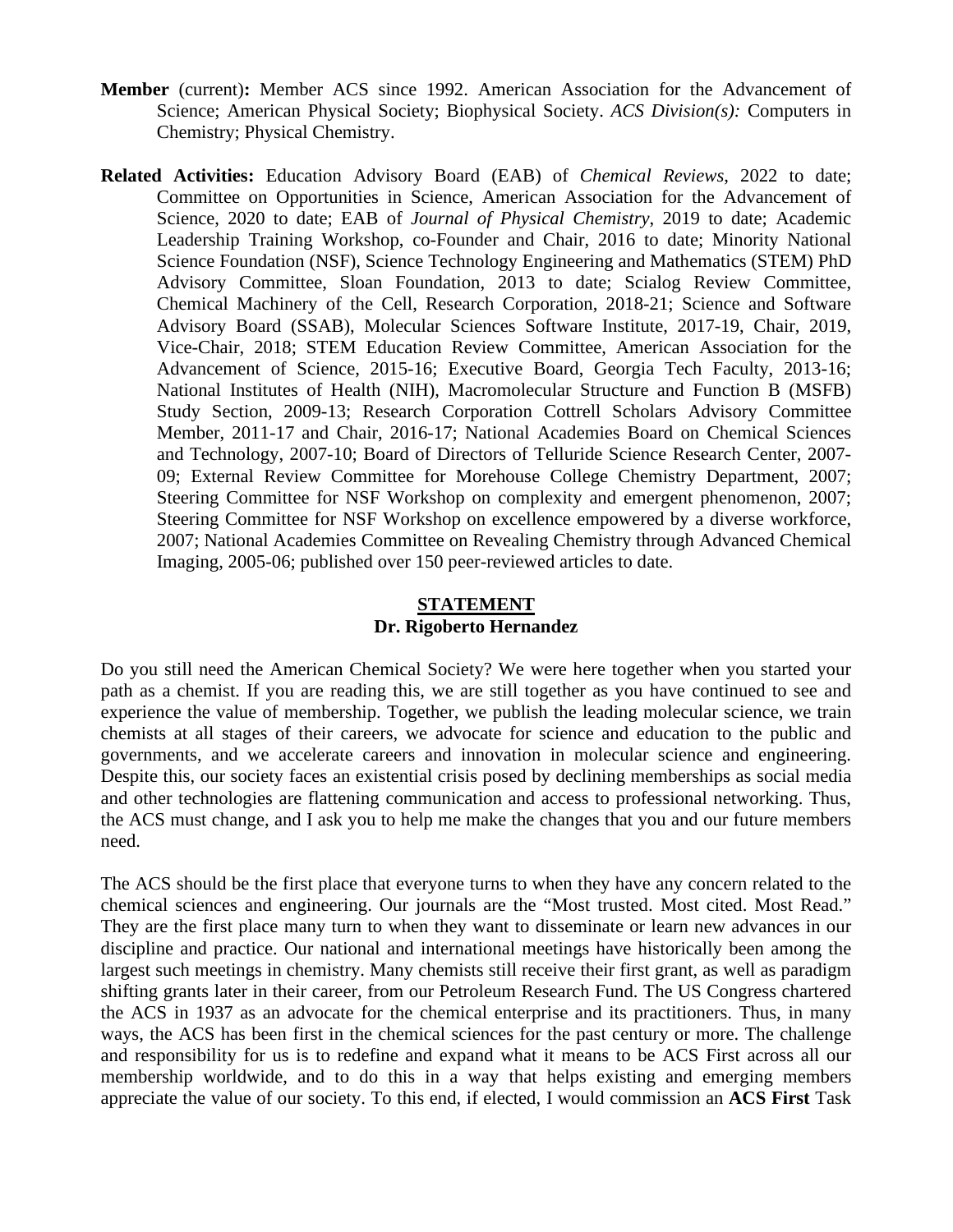- **Member** (current)**:** Member ACS since 1992. American Association for the Advancement of Science; American Physical Society; Biophysical Society. *ACS Division(s):* Computers in Chemistry; Physical Chemistry.
- **Related Activities:** Education Advisory Board (EAB) of *Chemical Reviews*, 2022 to date; Committee on Opportunities in Science, American Association for the Advancement of Science, 2020 to date; EAB of *Journal of Physical Chemistry*, 2019 to date; Academic Leadership Training Workshop, co-Founder and Chair, 2016 to date; Minority National Science Foundation (NSF), Science Technology Engineering and Mathematics (STEM) PhD Advisory Committee, Sloan Foundation, 2013 to date; Scialog Review Committee, Chemical Machinery of the Cell, Research Corporation, 2018-21; Science and Software Advisory Board (SSAB), Molecular Sciences Software Institute, 2017-19, Chair, 2019, Vice-Chair, 2018; STEM Education Review Committee, American Association for the Advancement of Science, 2015-16; Executive Board, Georgia Tech Faculty, 2013-16; National Institutes of Health (NIH), Macromolecular Structure and Function B (MSFB) Study Section, 2009-13; Research Corporation Cottrell Scholars Advisory Committee Member, 2011-17 and Chair, 2016-17; National Academies Board on Chemical Sciences and Technology, 2007-10; Board of Directors of Telluride Science Research Center, 2007- 09; External Review Committee for Morehouse College Chemistry Department, 2007; Steering Committee for NSF Workshop on complexity and emergent phenomenon, 2007; Steering Committee for NSF Workshop on excellence empowered by a diverse workforce, 2007; National Academies Committee on Revealing Chemistry through Advanced Chemical Imaging, 2005-06; published over 150 peer-reviewed articles to date.

## **STATEMENT Dr. Rigoberto Hernandez**

Do you still need the American Chemical Society? We were here together when you started your path as a chemist. If you are reading this, we are still together as you have continued to see and experience the value of membership. Together, we publish the leading molecular science, we train chemists at all stages of their careers, we advocate for science and education to the public and governments, and we accelerate careers and innovation in molecular science and engineering. Despite this, our society faces an existential crisis posed by declining memberships as social media and other technologies are flattening communication and access to professional networking. Thus, the ACS must change, and I ask you to help me make the changes that you and our future members need.

The ACS should be the first place that everyone turns to when they have any concern related to the chemical sciences and engineering. Our journals are the "Most trusted. Most cited. Most Read." They are the first place many turn to when they want to disseminate or learn new advances in our discipline and practice. Our national and international meetings have historically been among the largest such meetings in chemistry. Many chemists still receive their first grant, as well as paradigm shifting grants later in their career, from our Petroleum Research Fund. The US Congress chartered the ACS in 1937 as an advocate for the chemical enterprise and its practitioners. Thus, in many ways, the ACS has been first in the chemical sciences for the past century or more. The challenge and responsibility for us is to redefine and expand what it means to be ACS First across all our membership worldwide, and to do this in a way that helps existing and emerging members appreciate the value of our society. To this end, if elected, I would commission an **ACS First** Task